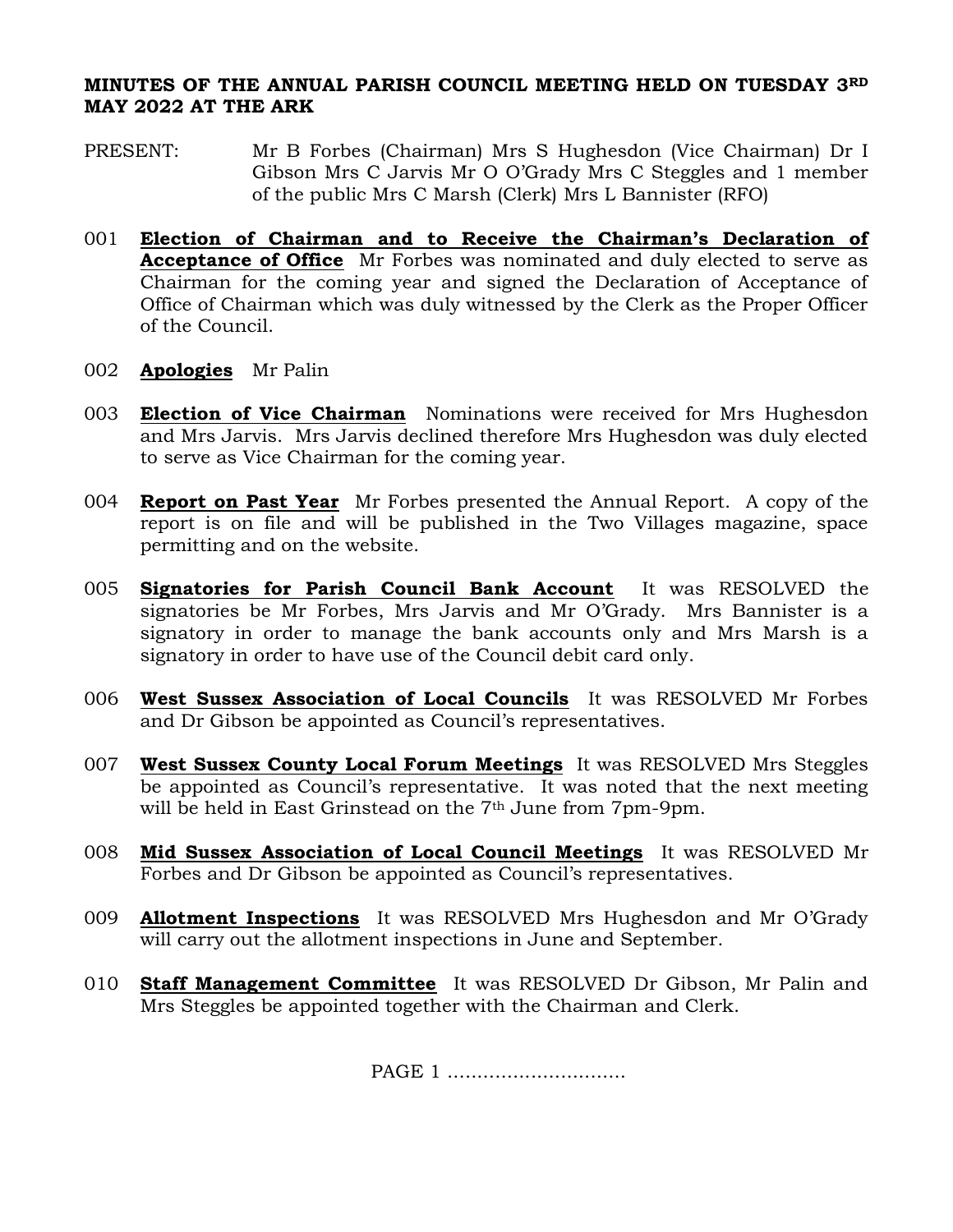## **MINUTES OF THE ANNUAL PARISH COUNCIL MEETING HELD ON TUESDAY 3RD MAY 2022 AT THE ARK**

- PRESENT: Mr B Forbes (Chairman) Mrs S Hughesdon (Vice Chairman) Dr I Gibson Mrs C Jarvis Mr O O'Grady Mrs C Steggles and 1 member of the public Mrs C Marsh (Clerk) Mrs L Bannister (RFO)
- 001 **Election of Chairman and to Receive the Chairman's Declaration of Acceptance of Office** Mr Forbes was nominated and duly elected to serve as Chairman for the coming year and signed the Declaration of Acceptance of Office of Chairman which was duly witnessed by the Clerk as the Proper Officer of the Council.
- 002 **Apologies** Mr Palin
- 003 **Election of Vice Chairman** Nominations were received for Mrs Hughesdon and Mrs Jarvis. Mrs Jarvis declined therefore Mrs Hughesdon was duly elected to serve as Vice Chairman for the coming year.
- 004 **Report on Past Year** Mr Forbes presented the Annual Report. A copy of the report is on file and will be published in the Two Villages magazine, space permitting and on the website.
- 005 **Signatories for Parish Council Bank Account** It was RESOLVED the signatories be Mr Forbes, Mrs Jarvis and Mr O'Grady. Mrs Bannister is a signatory in order to manage the bank accounts only and Mrs Marsh is a signatory in order to have use of the Council debit card only.
- 006 **West Sussex Association of Local Councils** It was RESOLVED Mr Forbes and Dr Gibson be appointed as Council's representatives.
- 007 **West Sussex County Local Forum Meetings** It was RESOLVED Mrs Steggles be appointed as Council's representative. It was noted that the next meeting will be held in East Grinstead on the 7<sup>th</sup> June from 7pm-9pm.
- 008 **Mid Sussex Association of Local Council Meetings** It was RESOLVED Mr Forbes and Dr Gibson be appointed as Council's representatives.
- 009 **Allotment Inspections** It was RESOLVED Mrs Hughesdon and Mr O'Grady will carry out the allotment inspections in June and September.
- 010 **Staff Management Committee** It was RESOLVED Dr Gibson, Mr Palin and Mrs Steggles be appointed together with the Chairman and Clerk.

PAGE 1 ..................................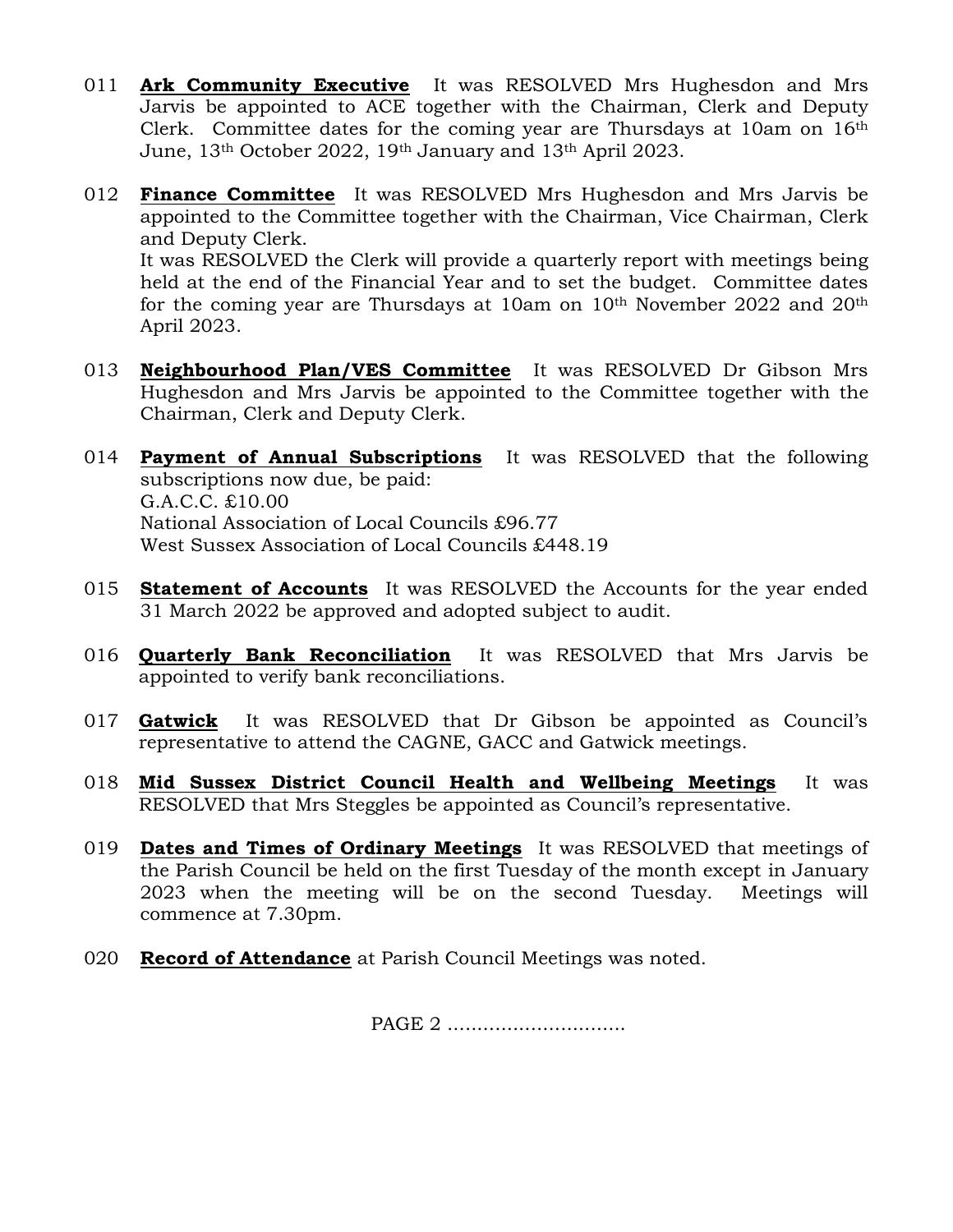- 011 **Ark Community Executive** It was RESOLVED Mrs Hughesdon and Mrs Jarvis be appointed to ACE together with the Chairman, Clerk and Deputy Clerk. Committee dates for the coming year are Thursdays at 10am on 16th June, 13th October 2022, 19th January and 13th April 2023.
- 012 **Finance Committee** It was RESOLVED Mrs Hughesdon and Mrs Jarvis be appointed to the Committee together with the Chairman, Vice Chairman, Clerk and Deputy Clerk. It was RESOLVED the Clerk will provide a quarterly report with meetings being held at the end of the Financial Year and to set the budget. Committee dates for the coming year are Thursdays at 10am on 10th November 2022 and 20th April 2023.
- 013 **Neighbourhood Plan/VES Committee** It was RESOLVED Dr Gibson Mrs Hughesdon and Mrs Jarvis be appointed to the Committee together with the Chairman, Clerk and Deputy Clerk.
- 014 **Payment of Annual Subscriptions** It was RESOLVED that the following subscriptions now due, be paid: G.A.C.C. £10.00 National Association of Local Councils £96.77 West Sussex Association of Local Councils £448.19
- 015 **Statement of Accounts** It was RESOLVED the Accounts for the year ended 31 March 2022 be approved and adopted subject to audit.
- 016 **Quarterly Bank Reconciliation** It was RESOLVED that Mrs Jarvis be appointed to verify bank reconciliations.
- 017 **Gatwick** It was RESOLVED that Dr Gibson be appointed as Council's representative to attend the CAGNE, GACC and Gatwick meetings.
- 018 **Mid Sussex District Council Health and Wellbeing Meetings** It was RESOLVED that Mrs Steggles be appointed as Council's representative.
- 019 **Dates and Times of Ordinary Meetings** It was RESOLVED that meetings of the Parish Council be held on the first Tuesday of the month except in January 2023 when the meeting will be on the second Tuesday. Meetings will commence at 7.30pm.
- 020 **Record of Attendance** at Parish Council Meetings was noted.

PAGE 2 .................................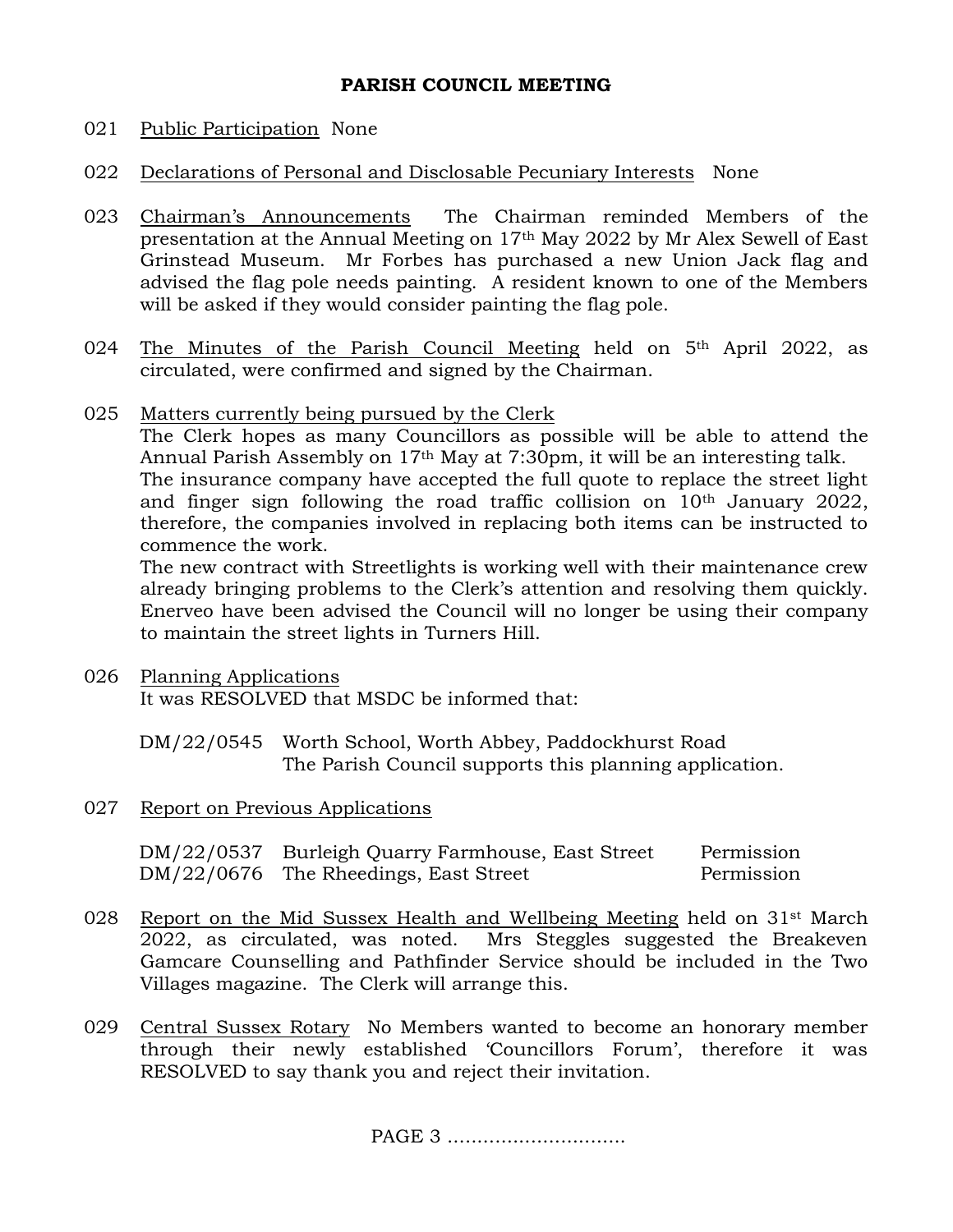## **PARISH COUNCIL MEETING**

## 021 Public Participation None

- 022 Declarations of Personal and Disclosable Pecuniary Interests None
- 023 Chairman's Announcements The Chairman reminded Members of the presentation at the Annual Meeting on 17th May 2022 by Mr Alex Sewell of East Grinstead Museum. Mr Forbes has purchased a new Union Jack flag and advised the flag pole needs painting. A resident known to one of the Members will be asked if they would consider painting the flag pole.
- 024 The Minutes of the Parish Council Meeting held on 5<sup>th</sup> April 2022, as circulated, were confirmed and signed by the Chairman.
- 025 Matters currently being pursued by the Clerk

The Clerk hopes as many Councillors as possible will be able to attend the Annual Parish Assembly on 17th May at 7:30pm, it will be an interesting talk. The insurance company have accepted the full quote to replace the street light and finger sign following the road traffic collision on 10th January 2022, therefore, the companies involved in replacing both items can be instructed to commence the work.

The new contract with Streetlights is working well with their maintenance crew already bringing problems to the Clerk's attention and resolving them quickly. Enerveo have been advised the Council will no longer be using their company to maintain the street lights in Turners Hill.

026 Planning Applications It was RESOLVED that MSDC be informed that:

> DM/22/0545 Worth School, Worth Abbey, Paddockhurst Road The Parish Council supports this planning application.

027 Report on Previous Applications

DM/22/0537 Burleigh Quarry Farmhouse, East Street Permission DM/22/0676 The Rheedings, East Street Permission

- 028 Report on the Mid Sussex Health and Wellbeing Meeting held on  $31<sup>st</sup>$  March 2022, as circulated, was noted. Mrs Steggles suggested the Breakeven Gamcare Counselling and Pathfinder Service should be included in the Two Villages magazine. The Clerk will arrange this.
- 029 Central Sussex Rotary No Members wanted to become an honorary member through their newly established 'Councillors Forum', therefore it was RESOLVED to say thank you and reject their invitation.

PAGE 3 .................................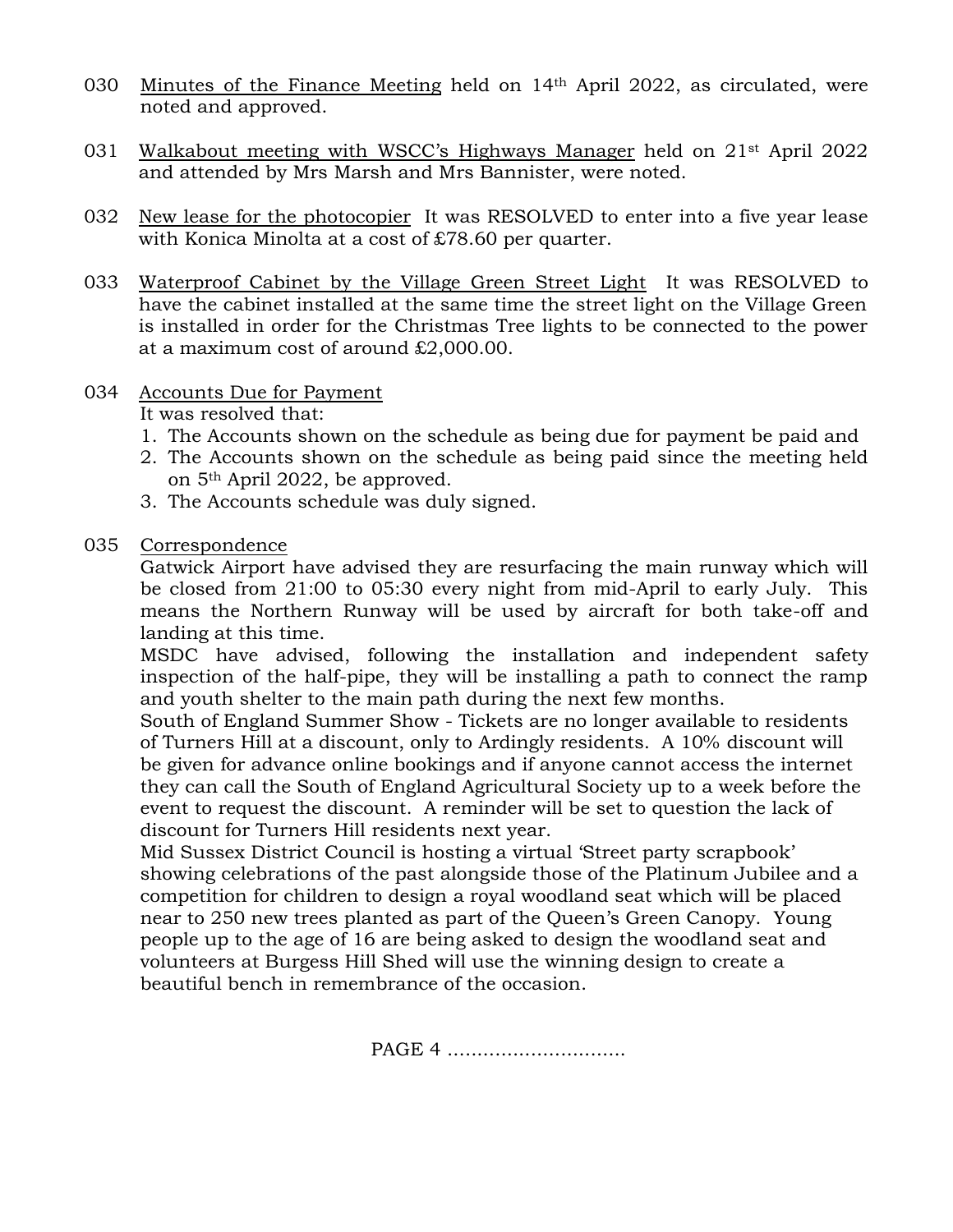- 030 Minutes of the Finance Meeting held on 14th April 2022, as circulated, were noted and approved.
- 031 Walkabout meeting with WSCC's Highways Manager held on 21st April 2022 and attended by Mrs Marsh and Mrs Bannister, were noted.
- 032 New lease for the photocopier It was RESOLVED to enter into a five year lease with Konica Minolta at a cost of £78.60 per quarter.
- 033 Waterproof Cabinet by the Village Green Street Light It was RESOLVED to have the cabinet installed at the same time the street light on the Village Green is installed in order for the Christmas Tree lights to be connected to the power at a maximum cost of around £2,000.00.
- 034 Accounts Due for Payment

It was resolved that:

- 1. The Accounts shown on the schedule as being due for payment be paid and
- 2. The Accounts shown on the schedule as being paid since the meeting held on 5th April 2022, be approved.
- 3. The Accounts schedule was duly signed.
- 035 Correspondence

Gatwick Airport have advised they are resurfacing the main runway which will be closed from 21:00 to 05:30 every night from mid-April to early July. This means the Northern Runway will be used by aircraft for both take-off and landing at this time.

MSDC have advised, following the installation and independent safety inspection of the half-pipe, they will be installing a path to connect the ramp and youth shelter to the main path during the next few months.

South of England Summer Show - Tickets are no longer available to residents of Turners Hill at a discount, only to Ardingly residents. A 10% discount will be given for advance online bookings and if anyone cannot access the internet they can call the South of England Agricultural Society up to a week before the event to request the discount. A reminder will be set to question the lack of discount for Turners Hill residents next year.

Mid Sussex District Council is hosting a virtual 'Street party scrapbook' showing celebrations of the past alongside those of the Platinum Jubilee and a competition for children to design a royal woodland seat which will be placed near to 250 new trees planted as part of the Queen's Green Canopy. Young people up to the age of 16 are being asked to design the woodland seat and volunteers at Burgess Hill Shed will use the winning design to create a beautiful bench in remembrance of the occasion.